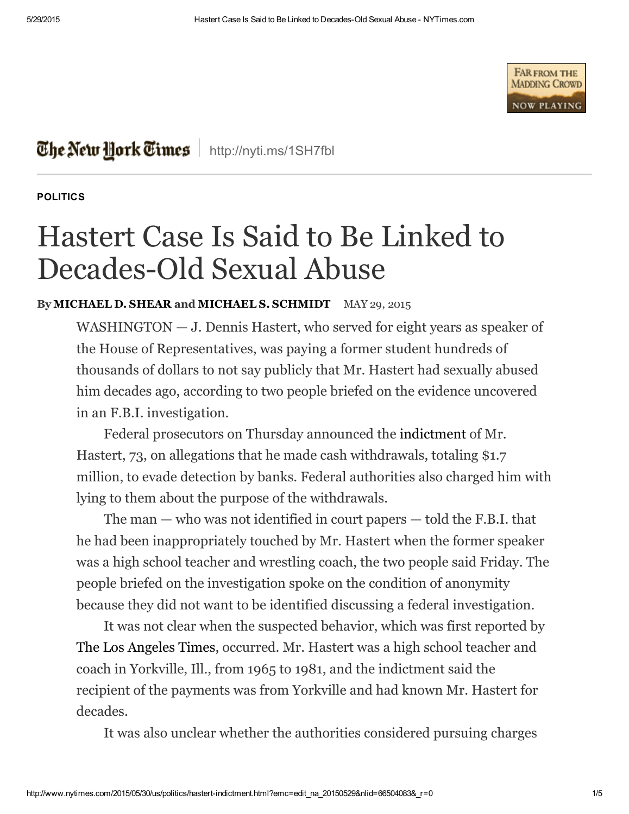

The New Hork Times | <http://nyti.ms/1SH7fbl>

**[POLITICS](http://www.nytimes.com/pages/politics/index.html)** 

## [Hastert](http://www.googleadservices.com/pagead/aclk?sa=L&ai=CFZMMCxFpVcf1J4KohASr74OgAtbM8eAGzr-Ev_UBs-ChhjQQASDI1vUZYMnGqYvApNgPoAHo1afyA8gBAqgDAcgDwQSqBLIBT9D6wMiUEIRVLwHMT7B1m9T6wNrXnxQs0xQMUk7eGVrlz8qaYo0dr-vJppX2_YoYIBCR3Lt0RqubSTjrOSbW2PQ0m_zdi0Vpw3UVoOsckdm560LODbrFE0V-UWH9jNUanR9d38AqpTf2yfDbTnzbR7WLI49jWVkWjRtN0Gw1N-kSEBu8idUjhOKSAvRzDYVYWDtDBohBWpZtUW0nwVU01FcLKd8JDoa8SQ7JUWhCRa8LE4gGAaAGAoAHgKrYDagHpr4b2AcB&num=1&cid=5GhNcYShRefWgNEfb7ExVFEz&sig=AOD64_1HzxZc489FHWl9s_t7UixTnPn6Dg&client=ca-pub-4177862836555934&adurl=https://www.mackweldon.com%3Futm_source%3Dgooglecpc%26utm_campaign%3Dtech1%26utm_content%3D65926154094) Case Is Said to Be Linked to [Decades](http://cooking.nytimes.com/68861692-nyt-cooking/1257675-what-to-cook-this-week?WT.mc_id=D-NYT-MKTG-MOD-22381-05-29-L1&WT.mc_ev=click&WT.mc_c=)-[Old](http://www.nytimes.com/newsletters/cooking?WT.mc_id=D-NYT-MKTG-MOD-22381-05-29-L2&WT.mc_ev=click&WT.mc_c=) Sexual Abuse

## By [MICHAEL](http://topics.nytimes.com/top/reference/timestopics/people/s/michael_d_shear/index.html) D. SHEAR and MICHAEL S. [SCHMIDT](http://topics.nytimes.com/top/reference/timestopics/people/s/michael_s_schmidt/index.html) MAY 29, 2015

WASHINGTON — J. Dennis Hastert, who served for eight years as speaker of the House of Representatives, was paying a former student hundreds of thousands of dollars to not say publicly that Mr. Hastert had sexually abused him decades ago, according to two people briefed on the evidence uncovered in an F.B.I. investigation.

Federal prosecutors on Thursday announced the [indictment](http://www.nytimes.com/interactive/2015/05/28/us/document-indictment-of-john-dennis-hastert.html) of Mr. Hastert, 73, on allegations that he made cash withdrawals, totaling \$1.7 million, to evade detection by banks. Federal authorities also charged him with lying to them about the purpose of the withdrawals.

The man — who was not identified in court papers — told the F.B.I. that he had been inappropriately touched by Mr. Hastert when the former speaker was a high school teacher and wrestling coach, the two people said Friday. The people briefed on the investigation spoke on the condition of anonymity because they did not want to be identified discussing a federal investigation.

It was not clear when the suspected behavior, which was first reported by The Los [Angeles](http://www.latimes.com/nation/la-na-hastert-misconduct-20150529-story.html) Times, occurred. Mr. Hastert was a high school teacher and coach in Yorkville, Ill., from 1965 to 1981, and the indictment said the recipient of the payments was from Yorkville and had known Mr. Hastert for decades.

It was also unclear whether the authorities considered pursuing charges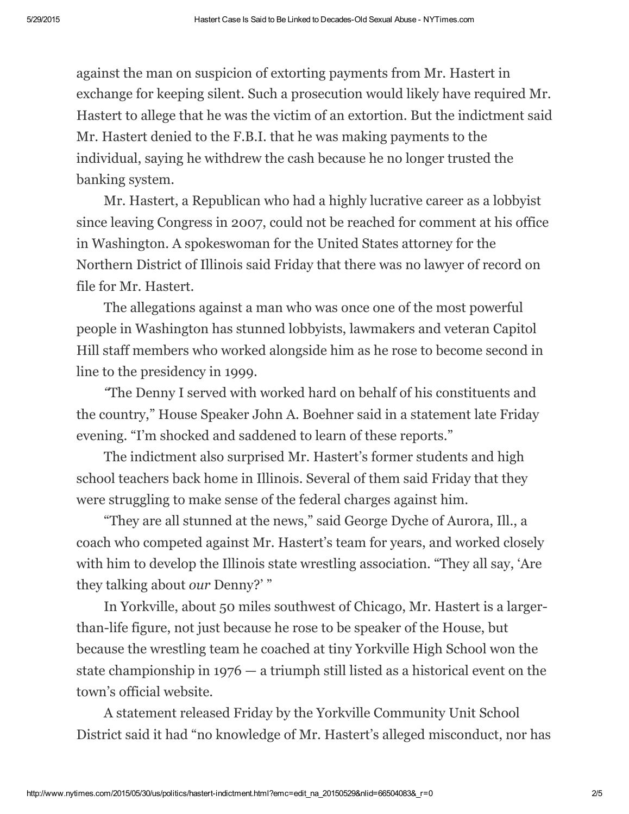against the man on suspicion of extorting payments from Mr. Hastert in exchange for keeping silent. Such a prosecution would likely have required Mr. Hastert to allege that he was the victim of an extortion. But the indictment said Mr. Hastert denied to the F.B.I. that he was making payments to the individual, saying he withdrew the cash because he no longer trusted the banking system.

Mr. Hastert, a Republican who had a highly lucrative career as a lobbyist since leaving Congress in 2007, could not be reached for comment at his office in Washington. A spokeswoman for the United States attorney for the Northern District of Illinois said Friday that there was no lawyer of record on file for Mr. Hastert.

The allegations against a man who was once one of the most powerful people in Washington has stunned lobbyists, lawmakers and veteran Capitol Hill staff members who worked alongside him as he rose to become second in line to the presidency in 1999.

"The Denny I served with worked hard on behalf of his constituents and the country," House Speaker John A. Boehner said in a statement late Friday evening. "I'm shocked and saddened to learn of these reports."

The indictment also surprised Mr. Hastert's former students and high school teachers back home in Illinois. Several of them said Friday that they were struggling to make sense of the federal charges against him.

"They are all stunned at the news," said George Dyche of Aurora, Ill., a coach who competed against Mr. Hastert's team for years, and worked closely with him to develop the Illinois state wrestling association. "They all say, 'Are they talking about our Denny?' "

In Yorkville, about 50 miles southwest of Chicago, Mr. Hastert is a largerthan-life figure, not just because he rose to be speaker of the House, but because the wrestling team he coached at tiny Yorkville High School won the state championship in 1976 — a triumph still listed as a historical event on the town's official website.

A statement released Friday by the Yorkville Community Unit School District said it had "no knowledge of Mr. Hastert's alleged misconduct, nor has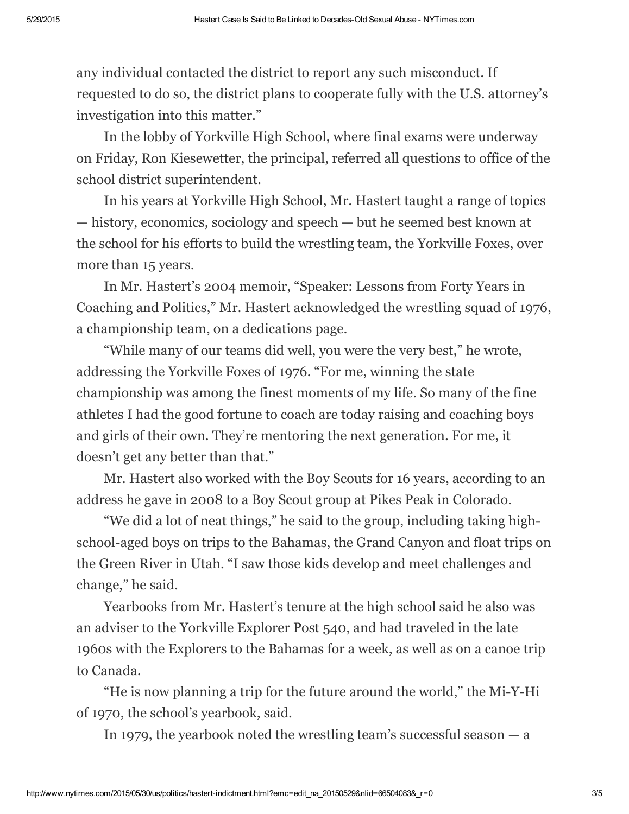any individual contacted the district to report any such misconduct. If requested to do so, the district plans to cooperate fully with the U.S. attorney's investigation into this matter."

In the lobby of Yorkville High School, where final exams were underway on Friday, Ron Kiesewetter, the principal, referred all questions to office of the school district superintendent.

In his years at Yorkville High School, Mr. Hastert taught a range of topics — history, economics, sociology and speech — but he seemed best known at the school for his efforts to build the wrestling team, the Yorkville Foxes, over more than 15 years.

In Mr. Hastert's 2004 memoir, "Speaker: Lessons from Forty Years in Coaching and Politics," Mr. Hastert acknowledged the wrestling squad of 1976, a championship team, on a dedications page.

"While many of our teams did well, you were the very best," he wrote, addressing the Yorkville Foxes of 1976. "For me, winning the state championship was among the finest moments of my life. So many of the fine athletes I had the good fortune to coach are today raising and coaching boys and girls of their own. They're mentoring the next generation. For me, it doesn't get any better than that."

Mr. Hastert also worked with the Boy Scouts for 16 years, according to an address he gave in 2008 to a Boy Scout group at Pikes Peak in Colorado.

"We did a lot of neat things," he said to the group, including taking highschool-aged boys on trips to the Bahamas, the Grand Canyon and float trips on the Green River in Utah. "I saw those kids develop and meet challenges and change," he said.

Yearbooks from Mr. Hastert's tenure at the high school said he also was an adviser to the Yorkville Explorer Post 540, and had traveled in the late 1960s with the Explorers to the Bahamas for a week, as well as on a canoe trip to Canada.

"He is now planning a trip for the future around the world," the Mi-Y-Hi of 1970, the school's yearbook, said.

In 1979, the yearbook noted the wrestling team's successful season  $-$  a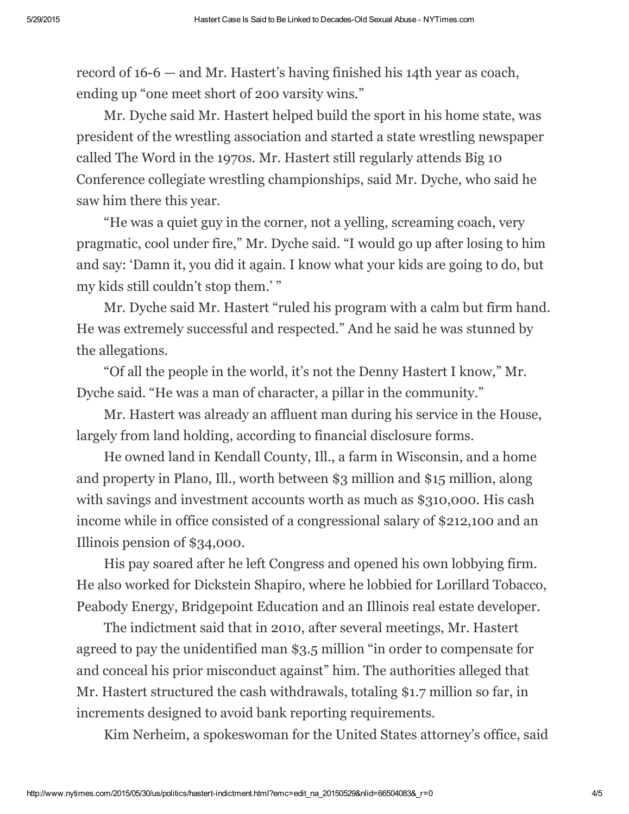record of  $16-6$  — and Mr. Hastert's having finished his 14th year as coach, ending up "one meet short of 200 varsity wins."

Mr. Dyche said Mr. Hastert helped build the sport in his home state, was president of the wrestling association and started a state wrestling newspaper called The Word in the 1970s. Mr. Hastert still regularly attends Big 10 Conference collegiate wrestling championships, said Mr. Dyche, who said he saw him there this year.

"He was a quiet guy in the corner, not a yelling, screaming coach, very pragmatic, cool under fire," Mr. Dyche said. "I would go up after losing to him and say: 'Damn it, you did it again. I know what your kids are going to do, but my kids still couldn't stop them.' "

Mr. Dyche said Mr. Hastert "ruled his program with a calm but firm hand. He was extremely successful and respected." And he said he was stunned by the allegations.

"Of all the people in the world, it's not the Denny Hastert I know," Mr. Dyche said. "He was a man of character, a pillar in the community."

Mr. Hastert was already an affluent man during his service in the House, largely from land holding, according to financial disclosure forms.

He owned land in Kendall County, Ill., a farm in Wisconsin, and a home and property in Plano, Ill., worth between \$3 million and \$15 million, along with savings and investment accounts worth as much as \$310,000. His cash income while in office consisted of a congressional salary of \$212,100 and an Illinois pension of \$34,000.

His pay soared after he left Congress and opened his own lobbying firm. He also worked for Dickstein Shapiro, where he lobbied for Lorillard Tobacco, Peabody Energy, Bridgepoint Education and an Illinois real estate developer.

The indictment said that in 2010, after several meetings, Mr. Hastert agreed to pay the unidentified man \$3.5 million "in order to compensate for and conceal his prior misconduct against" him. The authorities alleged that Mr. Hastert structured the cash withdrawals, totaling \$1.7 million so far, in increments designed to avoid bank reporting requirements.

Kim Nerheim, a spokeswoman for the United States attorney's office, said